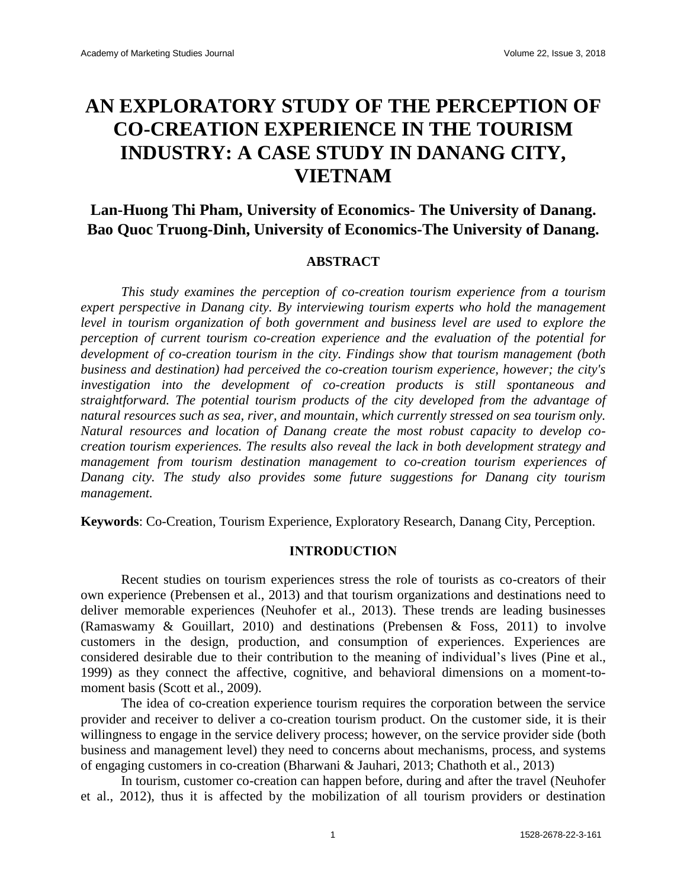# **AN EXPLORATORY STUDY OF THE PERCEPTION OF CO-CREATION EXPERIENCE IN THE TOURISM INDUSTRY: A CASE STUDY IN DANANG CITY, VIETNAM**

**Lan-Huong Thi Pham, University of Economics- The University of Danang. Bao Quoc Truong-Dinh, University of Economics-The University of Danang.**

## **ABSTRACT**

*This study examines the perception of co-creation tourism experience from a tourism expert perspective in Danang city. By interviewing tourism experts who hold the management level in tourism organization of both government and business level are used to explore the perception of current tourism co-creation experience and the evaluation of the potential for development of co-creation tourism in the city. Findings show that tourism management (both business and destination) had perceived the co-creation tourism experience, however; the city's investigation into the development of co-creation products is still spontaneous and straightforward. The potential tourism products of the city developed from the advantage of natural resources such as sea, river, and mountain, which currently stressed on sea tourism only. Natural resources and location of Danang create the most robust capacity to develop cocreation tourism experiences. The results also reveal the lack in both development strategy and management from tourism destination management to co-creation tourism experiences of Danang city. The study also provides some future suggestions for Danang city tourism management.*

**Keywords**: Co-Creation, Tourism Experience, Exploratory Research, Danang City, Perception.

## **INTRODUCTION**

Recent studies on tourism experiences stress the role of tourists as co-creators of their own experience (Prebensen et al., 2013) and that tourism organizations and destinations need to deliver memorable experiences (Neuhofer et al., 2013). These trends are leading businesses (Ramaswamy & Gouillart, 2010) and destinations (Prebensen & Foss, 2011) to involve customers in the design, production, and consumption of experiences. Experiences are considered desirable due to their contribution to the meaning of individual's lives (Pine et al., 1999) as they connect the affective, cognitive, and behavioral dimensions on a moment-tomoment basis (Scott et al., 2009).

The idea of co-creation experience tourism requires the corporation between the service provider and receiver to deliver a co-creation tourism product. On the customer side, it is their willingness to engage in the service delivery process; however, on the service provider side (both business and management level) they need to concerns about mechanisms, process, and systems of engaging customers in co-creation (Bharwani & Jauhari, 2013; Chathoth et al., 2013)

In tourism, customer co-creation can happen before, during and after the travel (Neuhofer et al., 2012), thus it is affected by the mobilization of all tourism providers or destination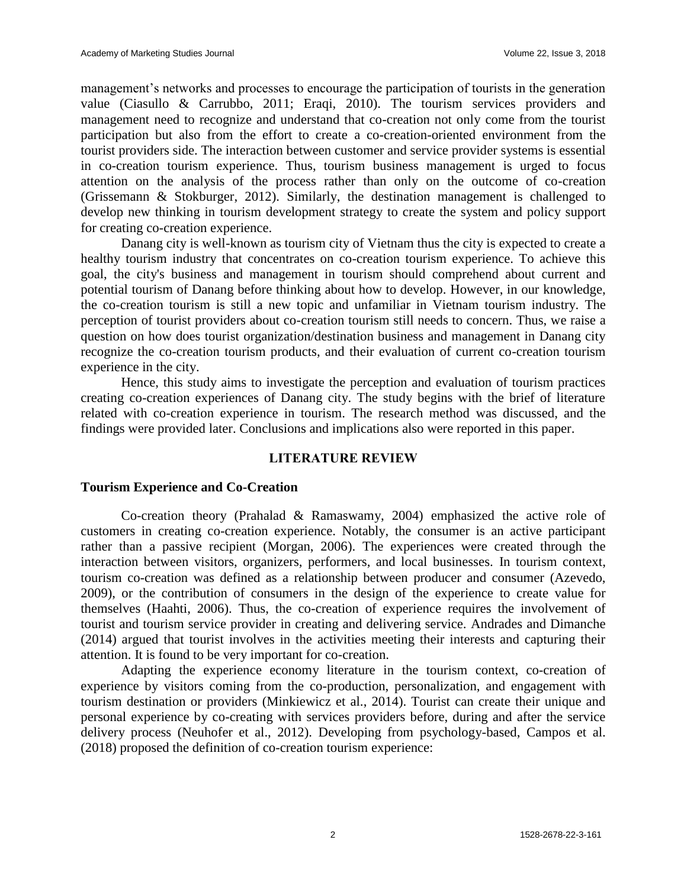management's networks and processes to encourage the participation of tourists in the generation value (Ciasullo & Carrubbo, 2011; Eraqi, 2010). The tourism services providers and management need to recognize and understand that co-creation not only come from the tourist participation but also from the effort to create a co-creation-oriented environment from the tourist providers side. The interaction between customer and service provider systems is essential in co-creation tourism experience. Thus, tourism business management is urged to focus attention on the analysis of the process rather than only on the outcome of co-creation (Grissemann & Stokburger, 2012). Similarly, the destination management is challenged to develop new thinking in tourism development strategy to create the system and policy support for creating co-creation experience.

Danang city is well-known as tourism city of Vietnam thus the city is expected to create a healthy tourism industry that concentrates on co-creation tourism experience. To achieve this goal, the city's business and management in tourism should comprehend about current and potential tourism of Danang before thinking about how to develop. However, in our knowledge, the co-creation tourism is still a new topic and unfamiliar in Vietnam tourism industry. The perception of tourist providers about co-creation tourism still needs to concern. Thus, we raise a question on how does tourist organization/destination business and management in Danang city recognize the co-creation tourism products, and their evaluation of current co-creation tourism experience in the city.

Hence, this study aims to investigate the perception and evaluation of tourism practices creating co-creation experiences of Danang city. The study begins with the brief of literature related with co-creation experience in tourism. The research method was discussed, and the findings were provided later. Conclusions and implications also were reported in this paper.

## **LITERATURE REVIEW**

## **Tourism Experience and Co-Creation**

Co-creation theory (Prahalad & Ramaswamy, 2004) emphasized the active role of customers in creating co-creation experience. Notably, the consumer is an active participant rather than a passive recipient (Morgan, 2006). The experiences were created through the interaction between visitors, organizers, performers, and local businesses. In tourism context, tourism co-creation was defined as a relationship between producer and consumer (Azevedo, 2009), or the contribution of consumers in the design of the experience to create value for themselves (Haahti, 2006). Thus, the co-creation of experience requires the involvement of tourist and tourism service provider in creating and delivering service. Andrades and Dimanche (2014) argued that tourist involves in the activities meeting their interests and capturing their attention. It is found to be very important for co-creation.

Adapting the experience economy literature in the tourism context, co-creation of experience by visitors coming from the co-production, personalization, and engagement with tourism destination or providers (Minkiewicz et al., 2014). Tourist can create their unique and personal experience by co-creating with services providers before, during and after the service delivery process (Neuhofer et al., 2012). Developing from psychology-based, Campos et al. (2018) proposed the definition of co-creation tourism experience: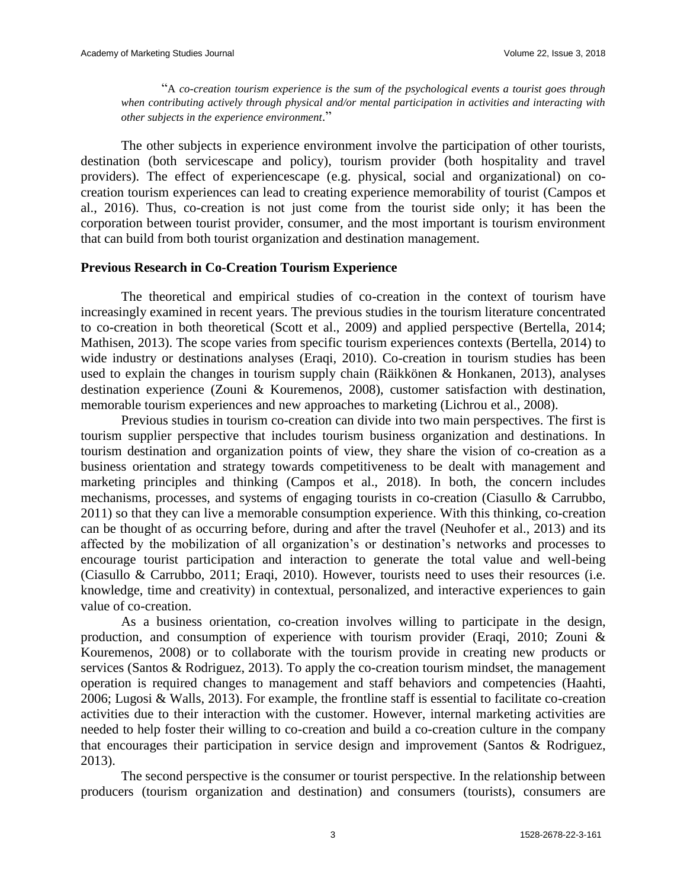"A *co-creation tourism experience is the sum of the psychological events a tourist goes through when contributing actively through physical and/or mental participation in activities and interacting with other subjects in the experience environment*."

The other subjects in experience environment involve the participation of other tourists, destination (both servicescape and policy), tourism provider (both hospitality and travel providers). The effect of experiencescape (e.g. physical, social and organizational) on cocreation tourism experiences can lead to creating experience memorability of tourist (Campos et al., 2016). Thus, co-creation is not just come from the tourist side only; it has been the corporation between tourist provider, consumer, and the most important is tourism environment that can build from both tourist organization and destination management.

## **Previous Research in Co-Creation Tourism Experience**

The theoretical and empirical studies of co-creation in the context of tourism have increasingly examined in recent years. The previous studies in the tourism literature concentrated to co-creation in both theoretical (Scott et al., 2009) and applied perspective (Bertella, 2014; Mathisen, 2013). The scope varies from specific tourism experiences contexts (Bertella, 2014) to wide industry or destinations analyses (Eraqi, 2010). Co-creation in tourism studies has been used to explain the changes in tourism supply chain (Räikkönen & Honkanen, 2013), analyses destination experience (Zouni & Kouremenos, 2008), customer satisfaction with destination, memorable tourism experiences and new approaches to marketing (Lichrou et al., 2008).

Previous studies in tourism co-creation can divide into two main perspectives. The first is tourism supplier perspective that includes tourism business organization and destinations. In tourism destination and organization points of view, they share the vision of co-creation as a business orientation and strategy towards competitiveness to be dealt with management and marketing principles and thinking (Campos et al., 2018). In both, the concern includes mechanisms, processes, and systems of engaging tourists in co-creation (Ciasullo & Carrubbo, 2011) so that they can live a memorable consumption experience. With this thinking, co-creation can be thought of as occurring before, during and after the travel (Neuhofer et al., 2013) and its affected by the mobilization of all organization's or destination's networks and processes to encourage tourist participation and interaction to generate the total value and well-being (Ciasullo & Carrubbo, 2011; Eraqi, 2010). However, tourists need to uses their resources (i.e. knowledge, time and creativity) in contextual, personalized, and interactive experiences to gain value of co-creation.

As a business orientation, co-creation involves willing to participate in the design, production, and consumption of experience with tourism provider (Eraqi, 2010; Zouni & Kouremenos, 2008) or to collaborate with the tourism provide in creating new products or services (Santos & Rodriguez, 2013). To apply the co-creation tourism mindset, the management operation is required changes to management and staff behaviors and competencies (Haahti, 2006; Lugosi & Walls, 2013). For example, the frontline staff is essential to facilitate co-creation activities due to their interaction with the customer. However, internal marketing activities are needed to help foster their willing to co-creation and build a co-creation culture in the company that encourages their participation in service design and improvement (Santos & Rodriguez, 2013).

The second perspective is the consumer or tourist perspective. In the relationship between producers (tourism organization and destination) and consumers (tourists), consumers are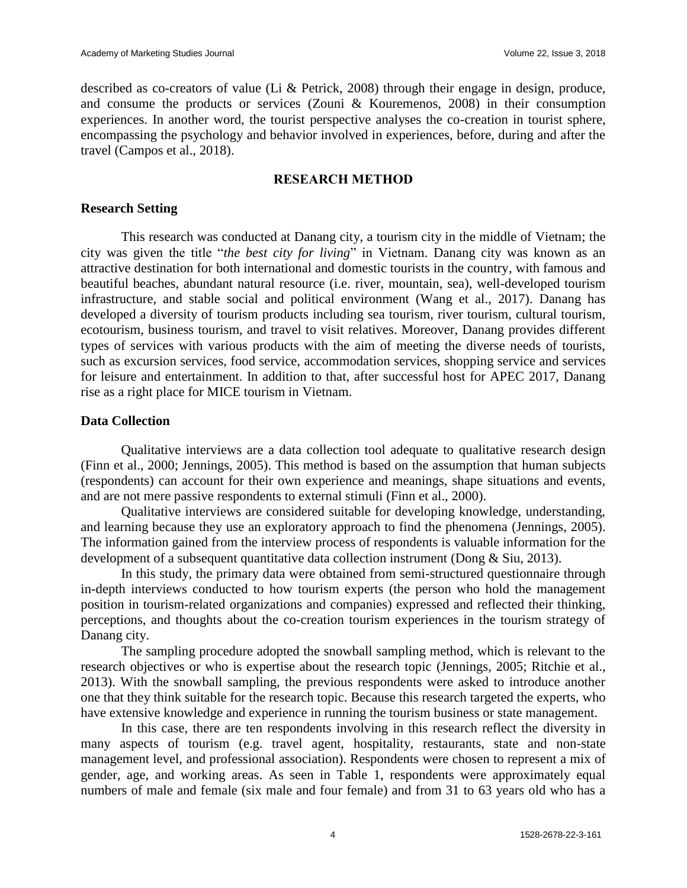described as co-creators of value (Li & Petrick, 2008) through their engage in design, produce, and consume the products or services (Zouni & Kouremenos, 2008) in their consumption experiences. In another word, the tourist perspective analyses the co-creation in tourist sphere, encompassing the psychology and behavior involved in experiences, before, during and after the travel (Campos et al., 2018).

## **RESEARCH METHOD**

## **Research Setting**

This research was conducted at Danang city, a tourism city in the middle of Vietnam; the city was given the title "*the best city for living*" in Vietnam. Danang city was known as an attractive destination for both international and domestic tourists in the country, with famous and beautiful beaches, abundant natural resource (i.e. river, mountain, sea), well-developed tourism infrastructure, and stable social and political environment (Wang et al., 2017). Danang has developed a diversity of tourism products including sea tourism, river tourism, cultural tourism, ecotourism, business tourism, and travel to visit relatives. Moreover, Danang provides different types of services with various products with the aim of meeting the diverse needs of tourists, such as excursion services, food service, accommodation services, shopping service and services for leisure and entertainment. In addition to that, after successful host for APEC 2017, Danang rise as a right place for MICE tourism in Vietnam.

## **Data Collection**

Qualitative interviews are a data collection tool adequate to qualitative research design (Finn et al., 2000; Jennings, 2005). This method is based on the assumption that human subjects (respondents) can account for their own experience and meanings, shape situations and events, and are not mere passive respondents to external stimuli (Finn et al., 2000).

Qualitative interviews are considered suitable for developing knowledge, understanding, and learning because they use an exploratory approach to find the phenomena (Jennings, 2005). The information gained from the interview process of respondents is valuable information for the development of a subsequent quantitative data collection instrument (Dong & Siu, 2013).

In this study, the primary data were obtained from semi-structured questionnaire through in-depth interviews conducted to how tourism experts (the person who hold the management position in tourism-related organizations and companies) expressed and reflected their thinking, perceptions, and thoughts about the co-creation tourism experiences in the tourism strategy of Danang city.

The sampling procedure adopted the snowball sampling method, which is relevant to the research objectives or who is expertise about the research topic (Jennings, 2005; Ritchie et al., 2013). With the snowball sampling, the previous respondents were asked to introduce another one that they think suitable for the research topic. Because this research targeted the experts, who have extensive knowledge and experience in running the tourism business or state management.

In this case, there are ten respondents involving in this research reflect the diversity in many aspects of tourism (e.g. travel agent, hospitality, restaurants, state and non-state management level, and professional association). Respondents were chosen to represent a mix of gender, age, and working areas. As seen in Table 1, respondents were approximately equal numbers of male and female (six male and four female) and from 31 to 63 years old who has a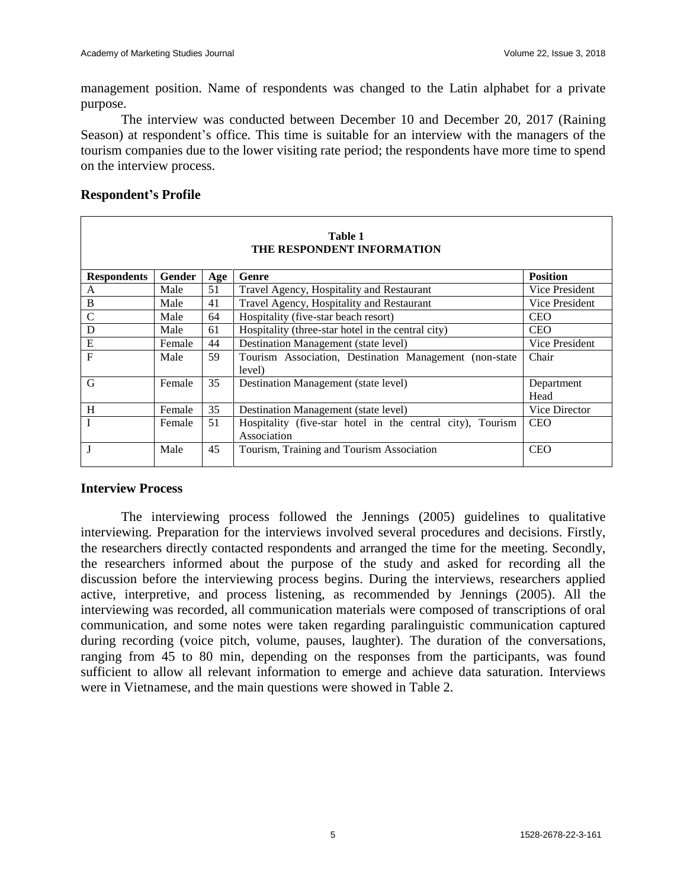management position. Name of respondents was changed to the Latin alphabet for a private purpose.

The interview was conducted between December 10 and December 20, 2017 (Raining Season) at respondent's office. This time is suitable for an interview with the managers of the tourism companies due to the lower visiting rate period; the respondents have more time to spend on the interview process.

## **Respondent's Profile**

| Table 1<br>THE RESPONDENT INFORMATION |        |     |                                                                           |                    |  |  |  |
|---------------------------------------|--------|-----|---------------------------------------------------------------------------|--------------------|--|--|--|
| <b>Respondents</b>                    | Gender | Age | Genre                                                                     | <b>Position</b>    |  |  |  |
| A                                     | Male   | 51  | Travel Agency, Hospitality and Restaurant                                 | Vice President     |  |  |  |
| B                                     | Male   | 41  | Travel Agency, Hospitality and Restaurant                                 | Vice President     |  |  |  |
| $\mathbf C$                           | Male   | 64  | Hospitality (five-star beach resort)                                      | <b>CEO</b>         |  |  |  |
| D                                     | Male   | 61  | Hospitality (three-star hotel in the central city)                        | <b>CEO</b>         |  |  |  |
| E                                     | Female | 44  | Destination Management (state level)                                      | Vice President     |  |  |  |
| $\mathbf{F}$                          | Male   | 59  | Tourism Association, Destination Management (non-state<br>level)          | Chair              |  |  |  |
| G                                     | Female | 35  | Destination Management (state level)                                      | Department<br>Head |  |  |  |
| H                                     | Female | 35  | Destination Management (state level)                                      | Vice Director      |  |  |  |
|                                       | Female | 51  | Hospitality (five-star hotel in the central city), Tourism<br>Association | <b>CEO</b>         |  |  |  |
|                                       | Male   | 45  | Tourism, Training and Tourism Association                                 | <b>CEO</b>         |  |  |  |

#### **Interview Process**

The interviewing process followed the Jennings (2005) guidelines to qualitative interviewing. Preparation for the interviews involved several procedures and decisions. Firstly, the researchers directly contacted respondents and arranged the time for the meeting. Secondly, the researchers informed about the purpose of the study and asked for recording all the discussion before the interviewing process begins. During the interviews, researchers applied active, interpretive, and process listening, as recommended by Jennings (2005). All the interviewing was recorded, all communication materials were composed of transcriptions of oral communication, and some notes were taken regarding paralinguistic communication captured during recording (voice pitch, volume, pauses, laughter). The duration of the conversations, ranging from 45 to 80 min, depending on the responses from the participants, was found sufficient to allow all relevant information to emerge and achieve data saturation. Interviews were in Vietnamese, and the main questions were showed in Table 2.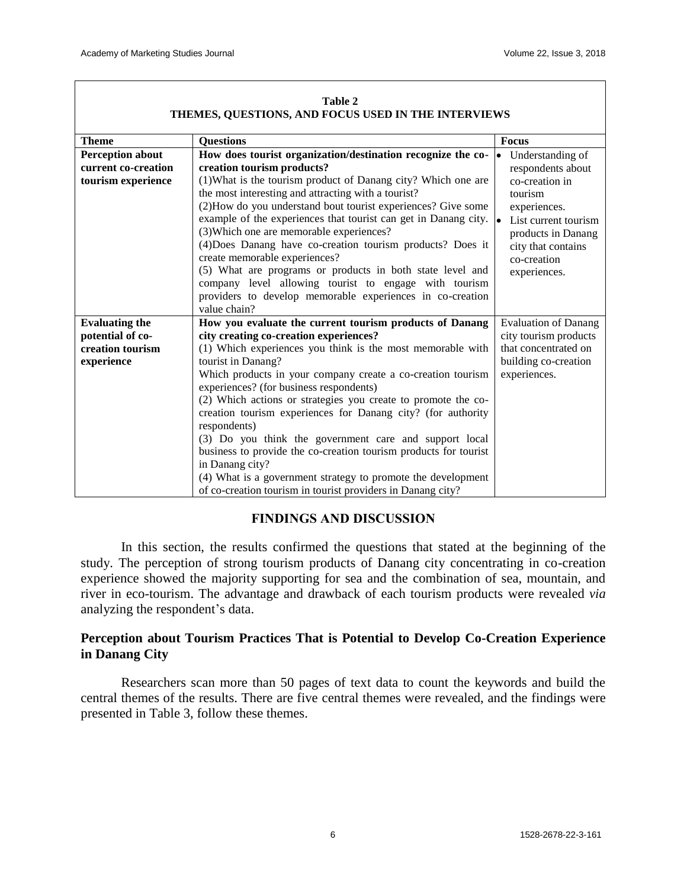| THEMES, QUESTIONS, AND POUGS USED IN THE INTERVIEWS                  |                                                                                                                                                                                                                                                                                                                                                                                                                                                                                                                                                                                                                                                                                                     |                                                                                                                                                                                                          |  |  |  |  |
|----------------------------------------------------------------------|-----------------------------------------------------------------------------------------------------------------------------------------------------------------------------------------------------------------------------------------------------------------------------------------------------------------------------------------------------------------------------------------------------------------------------------------------------------------------------------------------------------------------------------------------------------------------------------------------------------------------------------------------------------------------------------------------------|----------------------------------------------------------------------------------------------------------------------------------------------------------------------------------------------------------|--|--|--|--|
| <b>Theme</b>                                                         | <b>Questions</b>                                                                                                                                                                                                                                                                                                                                                                                                                                                                                                                                                                                                                                                                                    | <b>Focus</b>                                                                                                                                                                                             |  |  |  |  |
| <b>Perception about</b><br>current co-creation<br>tourism experience | How does tourist organization/destination recognize the co-<br>creation tourism products?<br>(1) What is the tourism product of Danang city? Which one are<br>the most interesting and attracting with a tourist?<br>(2) How do you understand bout tourist experiences? Give some<br>example of the experiences that tourist can get in Danang city.<br>(3) Which one are memorable experiences?<br>(4) Does Danang have co-creation tourism products? Does it<br>create memorable experiences?<br>(5) What are programs or products in both state level and<br>company level allowing tourist to engage with tourism<br>providers to develop memorable experiences in co-creation<br>value chain? | Understanding of<br>$\bullet$<br>respondents about<br>co-creation in<br>tourism<br>experiences.<br>List current tourism<br>l.<br>products in Danang<br>city that contains<br>co-creation<br>experiences. |  |  |  |  |
| <b>Evaluating the</b>                                                | How you evaluate the current tourism products of Danang                                                                                                                                                                                                                                                                                                                                                                                                                                                                                                                                                                                                                                             | <b>Evaluation of Danang</b>                                                                                                                                                                              |  |  |  |  |
| potential of co-                                                     | city creating co-creation experiences?                                                                                                                                                                                                                                                                                                                                                                                                                                                                                                                                                                                                                                                              | city tourism products                                                                                                                                                                                    |  |  |  |  |
| creation tourism<br>experience                                       | (1) Which experiences you think is the most memorable with<br>tourist in Danang?<br>Which products in your company create a co-creation tourism<br>experiences? (for business respondents)<br>(2) Which actions or strategies you create to promote the co-<br>creation tourism experiences for Danang city? (for authority<br>respondents)<br>(3) Do you think the government care and support local<br>business to provide the co-creation tourism products for tourist<br>in Danang city?<br>(4) What is a government strategy to promote the development                                                                                                                                        | that concentrated on<br>building co-creation<br>experiences.                                                                                                                                             |  |  |  |  |
|                                                                      | of co-creation tourism in tourist providers in Danang city?                                                                                                                                                                                                                                                                                                                                                                                                                                                                                                                                                                                                                                         |                                                                                                                                                                                                          |  |  |  |  |

#### **Table 2 THEMES, QUESTIONS, AND FOCUS USED IN THE INTERVIEWS**

# **FINDINGS AND DISCUSSION**

In this section, the results confirmed the questions that stated at the beginning of the study. The perception of strong tourism products of Danang city concentrating in co-creation experience showed the majority supporting for sea and the combination of sea, mountain, and river in eco-tourism. The advantage and drawback of each tourism products were revealed *via*  analyzing the respondent's data.

# **Perception about Tourism Practices That is Potential to Develop Co-Creation Experience in Danang City**

Researchers scan more than 50 pages of text data to count the keywords and build the central themes of the results. There are five central themes were revealed, and the findings were presented in Table 3, follow these themes.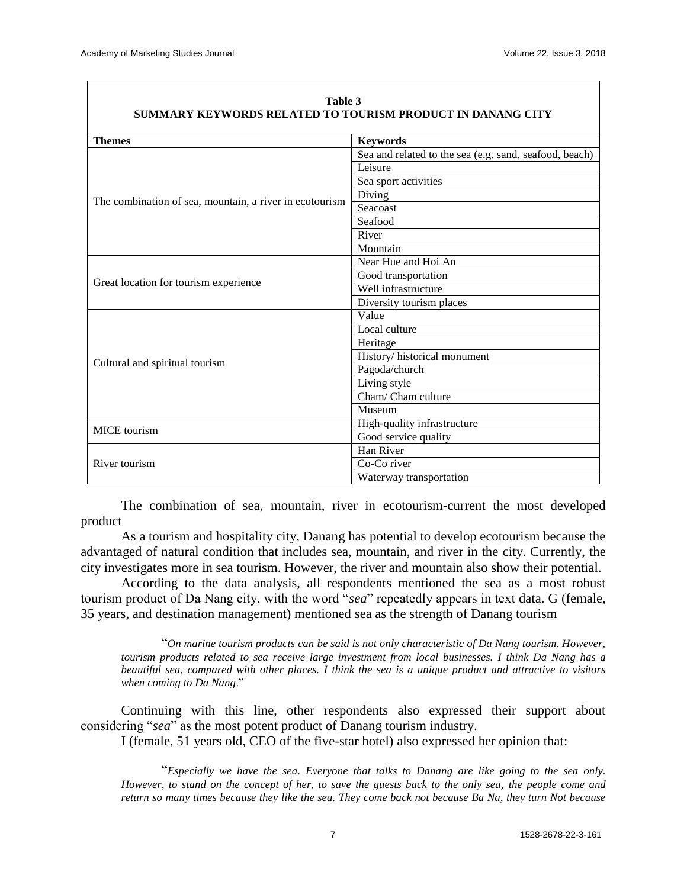| <b>Themes</b>                                           | <b>Keywords</b>                                        |  |  |  |  |  |
|---------------------------------------------------------|--------------------------------------------------------|--|--|--|--|--|
|                                                         | Sea and related to the sea (e.g. sand, seafood, beach) |  |  |  |  |  |
|                                                         | Leisure                                                |  |  |  |  |  |
|                                                         | Sea sport activities                                   |  |  |  |  |  |
|                                                         | Diving                                                 |  |  |  |  |  |
| The combination of sea, mountain, a river in ecotourism | Seacoast                                               |  |  |  |  |  |
|                                                         | Seafood                                                |  |  |  |  |  |
|                                                         | River                                                  |  |  |  |  |  |
|                                                         | Mountain                                               |  |  |  |  |  |
|                                                         | Near Hue and Hoi An                                    |  |  |  |  |  |
|                                                         | Good transportation                                    |  |  |  |  |  |
| Great location for tourism experience                   | $\overline{W}$ ell infrastructure                      |  |  |  |  |  |
|                                                         | Diversity tourism places                               |  |  |  |  |  |
|                                                         | Value                                                  |  |  |  |  |  |
|                                                         | Local culture                                          |  |  |  |  |  |
|                                                         | Heritage                                               |  |  |  |  |  |
|                                                         | History/ historical monument                           |  |  |  |  |  |
| Cultural and spiritual tourism                          | Pagoda/church                                          |  |  |  |  |  |
|                                                         | Living style                                           |  |  |  |  |  |
|                                                         | Cham/ Cham culture                                     |  |  |  |  |  |
|                                                         | Museum                                                 |  |  |  |  |  |
| <b>MICE</b> tourism                                     | High-quality infrastructure                            |  |  |  |  |  |
|                                                         | Good service quality                                   |  |  |  |  |  |
|                                                         | Han River                                              |  |  |  |  |  |
| River tourism                                           | Co-Co river                                            |  |  |  |  |  |
|                                                         | Waterway transportation                                |  |  |  |  |  |

#### **Table 3 SUMMARY KEYWORDS RELATED TO TOURISM PRODUCT IN DANANG CITY**

The combination of sea, mountain, river in ecotourism-current the most developed product

As a tourism and hospitality city, Danang has potential to develop ecotourism because the advantaged of natural condition that includes sea, mountain, and river in the city. Currently, the city investigates more in sea tourism. However, the river and mountain also show their potential.

According to the data analysis, all respondents mentioned the sea as a most robust tourism product of Da Nang city, with the word "*sea*" repeatedly appears in text data. G (female, 35 years, and destination management) mentioned sea as the strength of Danang tourism

"*On marine tourism products can be said is not only characteristic of Da Nang tourism. However, tourism products related to sea receive large investment from local businesses. I think Da Nang has a beautiful sea, compared with other places. I think the sea is a unique product and attractive to visitors when coming to Da Nang*."

Continuing with this line, other respondents also expressed their support about considering "*sea*" as the most potent product of Danang tourism industry.

I (female, 51 years old, CEO of the five-star hotel) also expressed her opinion that:

"*Especially we have the sea. Everyone that talks to Danang are like going to the sea only. However, to stand on the concept of her, to save the guests back to the only sea, the people come and return so many times because they like the sea. They come back not because Ba Na, they turn Not because*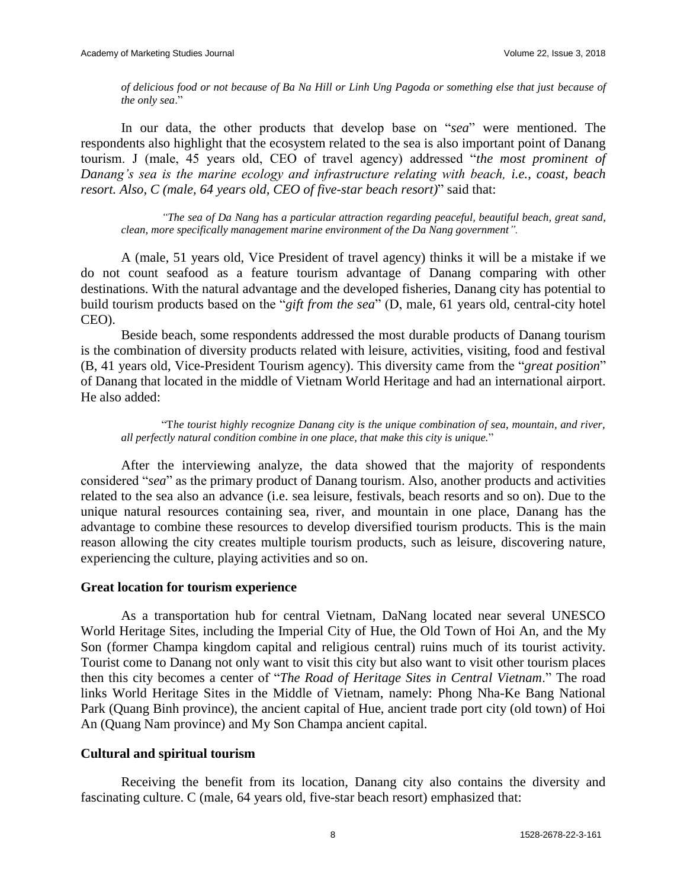*of delicious food or not because of Ba Na Hill or Linh Ung Pagoda or something else that just because of the only sea*."

In our data, the other products that develop base on "*sea*" were mentioned. The respondents also highlight that the ecosystem related to the sea is also important point of Danang tourism. J (male, 45 years old, CEO of travel agency) addressed "*the most prominent of Danang's sea is the marine ecology and infrastructure relating with beach, i.e., coast, beach resort. Also, C (male, 64 years old, CEO of five-star beach resort)*" said that:

*"The sea of Da Nang has a particular attraction regarding peaceful, beautiful beach, great sand, clean, more specifically management marine environment of the Da Nang government".*

A (male, 51 years old, Vice President of travel agency) thinks it will be a mistake if we do not count seafood as a feature tourism advantage of Danang comparing with other destinations. With the natural advantage and the developed fisheries, Danang city has potential to build tourism products based on the "*gift from the sea*" (D, male, 61 years old, central-city hotel CEO).

Beside beach, some respondents addressed the most durable products of Danang tourism is the combination of diversity products related with leisure, activities, visiting, food and festival (B, 41 years old, Vice-President Tourism agency). This diversity came from the "*great position*" of Danang that located in the middle of Vietnam World Heritage and had an international airport. He also added:

"T*he tourist highly recognize Danang city is the unique combination of sea, mountain, and river, all perfectly natural condition combine in one place, that make this city is unique.*"

After the interviewing analyze, the data showed that the majority of respondents considered "*sea*" as the primary product of Danang tourism. Also, another products and activities related to the sea also an advance (i.e. sea leisure, festivals, beach resorts and so on). Due to the unique natural resources containing sea, river, and mountain in one place, Danang has the advantage to combine these resources to develop diversified tourism products. This is the main reason allowing the city creates multiple tourism products, such as leisure, discovering nature, experiencing the culture, playing activities and so on.

## **Great location for tourism experience**

As a transportation hub for central Vietnam, DaNang located near several UNESCO World Heritage Sites, including the Imperial City of Hue, the Old Town of Hoi An, and the My Son (former Champa kingdom capital and religious central) ruins much of its tourist activity. Tourist come to Danang not only want to visit this city but also want to visit other tourism places then this city becomes a center of "*The Road of Heritage Sites in Central Vietnam*." The road links World Heritage Sites in the Middle of Vietnam, namely: Phong Nha-Ke Bang National Park (Quang Binh province), the ancient capital of Hue, ancient trade port city (old town) of Hoi An (Quang Nam province) and My Son Champa ancient capital.

## **Cultural and spiritual tourism**

Receiving the benefit from its location, Danang city also contains the diversity and fascinating culture. C (male, 64 years old, five-star beach resort) emphasized that: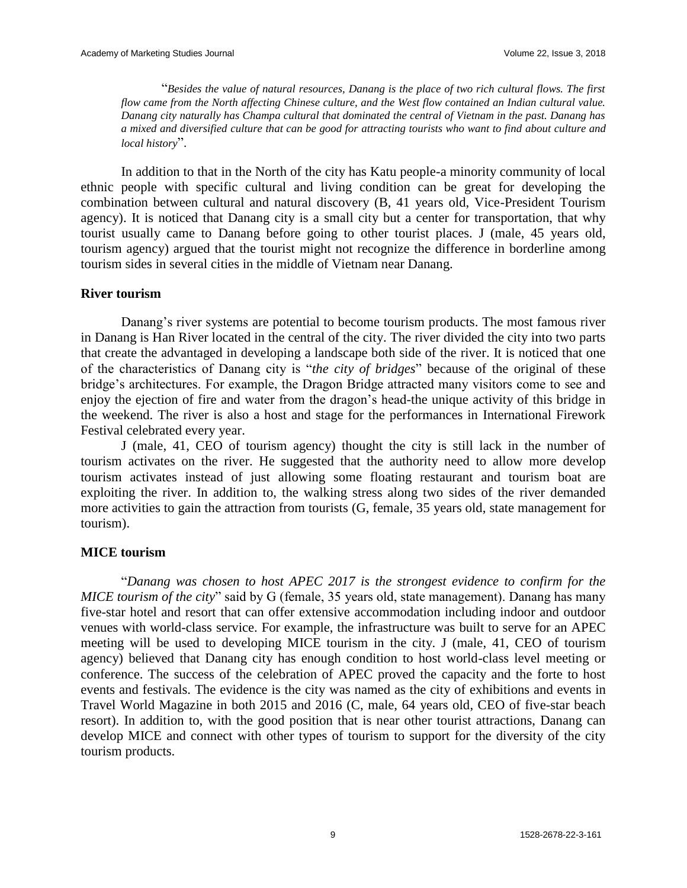"*Besides the value of natural resources, Danang is the place of two rich cultural flows. The first flow came from the North affecting Chinese culture, and the West flow contained an Indian cultural value. Danang city naturally has Champa cultural that dominated the central of Vietnam in the past. Danang has a mixed and diversified culture that can be good for attracting tourists who want to find about culture and local history*".

In addition to that in the North of the city has Katu people-a minority community of local ethnic people with specific cultural and living condition can be great for developing the combination between cultural and natural discovery (B, 41 years old, Vice-President Tourism agency). It is noticed that Danang city is a small city but a center for transportation, that why tourist usually came to Danang before going to other tourist places. J (male, 45 years old, tourism agency) argued that the tourist might not recognize the difference in borderline among tourism sides in several cities in the middle of Vietnam near Danang.

## **River tourism**

Danang's river systems are potential to become tourism products. The most famous river in Danang is Han River located in the central of the city. The river divided the city into two parts that create the advantaged in developing a landscape both side of the river. It is noticed that one of the characteristics of Danang city is "*the city of bridges*" because of the original of these bridge's architectures. For example, the Dragon Bridge attracted many visitors come to see and enjoy the ejection of fire and water from the dragon's head-the unique activity of this bridge in the weekend. The river is also a host and stage for the performances in International Firework Festival celebrated every year.

J (male, 41, CEO of tourism agency) thought the city is still lack in the number of tourism activates on the river. He suggested that the authority need to allow more develop tourism activates instead of just allowing some floating restaurant and tourism boat are exploiting the river. In addition to, the walking stress along two sides of the river demanded more activities to gain the attraction from tourists (G, female, 35 years old, state management for tourism).

## **MICE tourism**

"*Danang was chosen to host APEC 2017 is the strongest evidence to confirm for the MICE tourism of the city*" said by G (female, 35 years old, state management). Danang has many five-star hotel and resort that can offer extensive accommodation including indoor and outdoor venues with world-class service. For example, the infrastructure was built to serve for an APEC meeting will be used to developing MICE tourism in the city. J (male, 41, CEO of tourism agency) believed that Danang city has enough condition to host world-class level meeting or conference. The success of the celebration of APEC proved the capacity and the forte to host events and festivals. The evidence is the city was named as the city of exhibitions and events in Travel World Magazine in both 2015 and 2016 (C, male, 64 years old, CEO of five-star beach resort). In addition to, with the good position that is near other tourist attractions, Danang can develop MICE and connect with other types of tourism to support for the diversity of the city tourism products.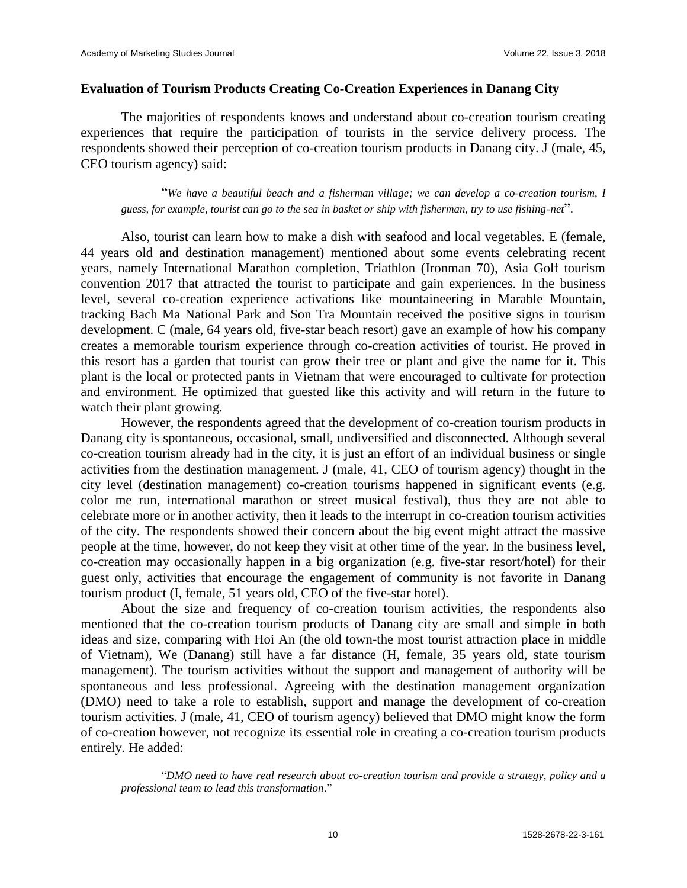### **Evaluation of Tourism Products Creating Co-Creation Experiences in Danang City**

The majorities of respondents knows and understand about co-creation tourism creating experiences that require the participation of tourists in the service delivery process. The respondents showed their perception of co-creation tourism products in Danang city. J (male, 45, CEO tourism agency) said:

"*We have a beautiful beach and a fisherman village; we can develop a co-creation tourism, I guess, for example, tourist can go to the sea in basket or ship with fisherman, try to use fishing-net*".

Also, tourist can learn how to make a dish with seafood and local vegetables. E (female, 44 years old and destination management) mentioned about some events celebrating recent years, namely International Marathon completion, Triathlon (Ironman 70), Asia Golf tourism convention 2017 that attracted the tourist to participate and gain experiences. In the business level, several co-creation experience activations like mountaineering in Marable Mountain, tracking Bach Ma National Park and Son Tra Mountain received the positive signs in tourism development. C (male, 64 years old, five-star beach resort) gave an example of how his company creates a memorable tourism experience through co-creation activities of tourist. He proved in this resort has a garden that tourist can grow their tree or plant and give the name for it. This plant is the local or protected pants in Vietnam that were encouraged to cultivate for protection and environment. He optimized that guested like this activity and will return in the future to watch their plant growing.

However, the respondents agreed that the development of co-creation tourism products in Danang city is spontaneous, occasional, small, undiversified and disconnected. Although several co-creation tourism already had in the city, it is just an effort of an individual business or single activities from the destination management. J (male, 41, CEO of tourism agency) thought in the city level (destination management) co-creation tourisms happened in significant events (e.g. color me run, international marathon or street musical festival), thus they are not able to celebrate more or in another activity, then it leads to the interrupt in co-creation tourism activities of the city. The respondents showed their concern about the big event might attract the massive people at the time, however, do not keep they visit at other time of the year. In the business level, co-creation may occasionally happen in a big organization (e.g. five-star resort/hotel) for their guest only, activities that encourage the engagement of community is not favorite in Danang tourism product (I, female, 51 years old, CEO of the five-star hotel).

About the size and frequency of co-creation tourism activities, the respondents also mentioned that the co-creation tourism products of Danang city are small and simple in both ideas and size, comparing with Hoi An (the old town-the most tourist attraction place in middle of Vietnam), We (Danang) still have a far distance (H, female, 35 years old, state tourism management). The tourism activities without the support and management of authority will be spontaneous and less professional. Agreeing with the destination management organization (DMO) need to take a role to establish, support and manage the development of co-creation tourism activities. J (male, 41, CEO of tourism agency) believed that DMO might know the form of co-creation however, not recognize its essential role in creating a co-creation tourism products entirely. He added:

"*DMO need to have real research about co-creation tourism and provide a strategy, policy and a professional team to lead this transformation*."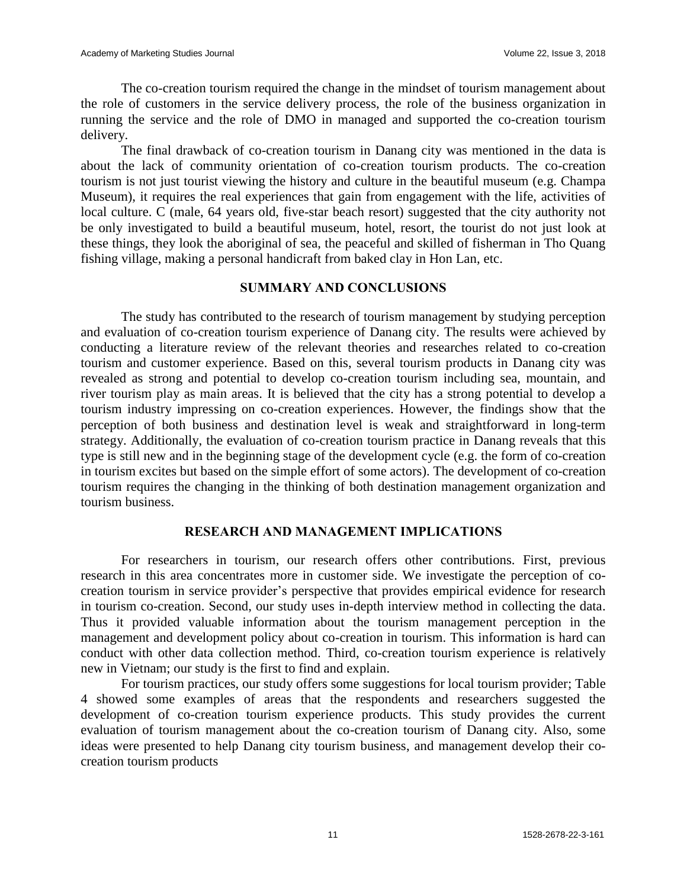The co-creation tourism required the change in the mindset of tourism management about the role of customers in the service delivery process, the role of the business organization in running the service and the role of DMO in managed and supported the co-creation tourism delivery.

The final drawback of co-creation tourism in Danang city was mentioned in the data is about the lack of community orientation of co-creation tourism products. The co-creation tourism is not just tourist viewing the history and culture in the beautiful museum (e.g. Champa Museum), it requires the real experiences that gain from engagement with the life, activities of local culture. C (male, 64 years old, five-star beach resort) suggested that the city authority not be only investigated to build a beautiful museum, hotel, resort, the tourist do not just look at these things, they look the aboriginal of sea, the peaceful and skilled of fisherman in Tho Quang fishing village, making a personal handicraft from baked clay in Hon Lan, etc.

## **SUMMARY AND CONCLUSIONS**

The study has contributed to the research of tourism management by studying perception and evaluation of co-creation tourism experience of Danang city. The results were achieved by conducting a literature review of the relevant theories and researches related to co-creation tourism and customer experience. Based on this, several tourism products in Danang city was revealed as strong and potential to develop co-creation tourism including sea, mountain, and river tourism play as main areas. It is believed that the city has a strong potential to develop a tourism industry impressing on co-creation experiences. However, the findings show that the perception of both business and destination level is weak and straightforward in long-term strategy. Additionally, the evaluation of co-creation tourism practice in Danang reveals that this type is still new and in the beginning stage of the development cycle (e.g. the form of co-creation in tourism excites but based on the simple effort of some actors). The development of co-creation tourism requires the changing in the thinking of both destination management organization and tourism business.

## **RESEARCH AND MANAGEMENT IMPLICATIONS**

For researchers in tourism, our research offers other contributions. First, previous research in this area concentrates more in customer side. We investigate the perception of cocreation tourism in service provider's perspective that provides empirical evidence for research in tourism co-creation. Second, our study uses in-depth interview method in collecting the data. Thus it provided valuable information about the tourism management perception in the management and development policy about co-creation in tourism. This information is hard can conduct with other data collection method. Third, co-creation tourism experience is relatively new in Vietnam; our study is the first to find and explain.

For tourism practices, our study offers some suggestions for local tourism provider; Table 4 showed some examples of areas that the respondents and researchers suggested the development of co-creation tourism experience products. This study provides the current evaluation of tourism management about the co-creation tourism of Danang city. Also, some ideas were presented to help Danang city tourism business, and management develop their cocreation tourism products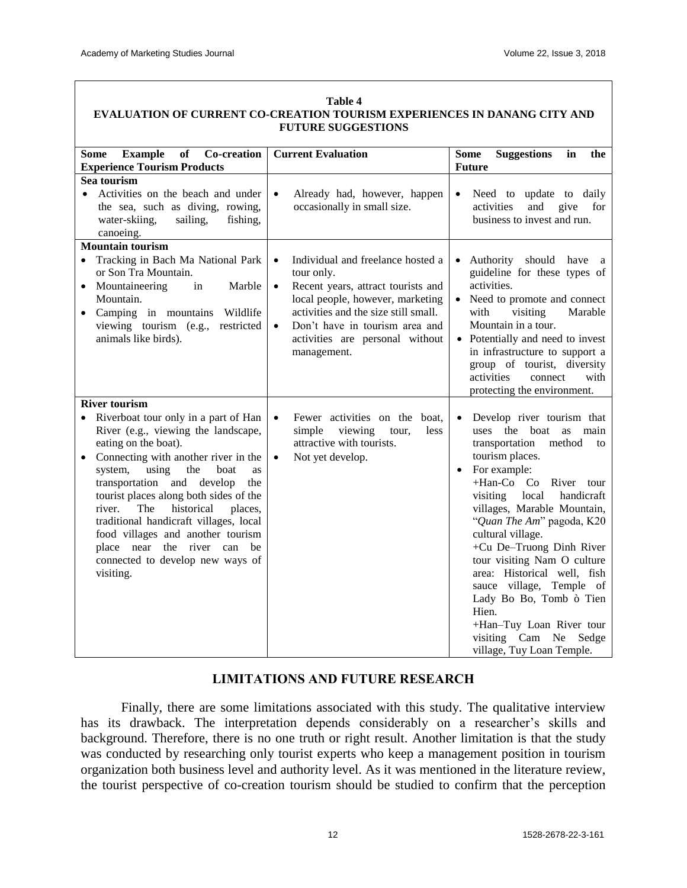| Table 4<br>EVALUATION OF CURRENT CO-CREATION TOURISM EXPERIENCES IN DANANG CITY AND                                                                                                                                                                                                                                                                                                                                                                                          |                                                                                                                                                                                                                                                                                              |                                                                                                                                                                                                                                                                                                                                                                                                                                                                                                                                                      |  |  |  |  |  |  |  |
|------------------------------------------------------------------------------------------------------------------------------------------------------------------------------------------------------------------------------------------------------------------------------------------------------------------------------------------------------------------------------------------------------------------------------------------------------------------------------|----------------------------------------------------------------------------------------------------------------------------------------------------------------------------------------------------------------------------------------------------------------------------------------------|------------------------------------------------------------------------------------------------------------------------------------------------------------------------------------------------------------------------------------------------------------------------------------------------------------------------------------------------------------------------------------------------------------------------------------------------------------------------------------------------------------------------------------------------------|--|--|--|--|--|--|--|
| <b>FUTURE SUGGESTIONS</b>                                                                                                                                                                                                                                                                                                                                                                                                                                                    |                                                                                                                                                                                                                                                                                              |                                                                                                                                                                                                                                                                                                                                                                                                                                                                                                                                                      |  |  |  |  |  |  |  |
| <b>of</b><br>Co-creation<br><b>Example</b><br>Some<br><b>Experience Tourism Products</b>                                                                                                                                                                                                                                                                                                                                                                                     | <b>Current Evaluation</b>                                                                                                                                                                                                                                                                    | <b>Suggestions</b><br>in<br>the<br>Some<br><b>Future</b>                                                                                                                                                                                                                                                                                                                                                                                                                                                                                             |  |  |  |  |  |  |  |
| Sea tourism                                                                                                                                                                                                                                                                                                                                                                                                                                                                  |                                                                                                                                                                                                                                                                                              |                                                                                                                                                                                                                                                                                                                                                                                                                                                                                                                                                      |  |  |  |  |  |  |  |
| Activities on the beach and under<br>the sea, such as diving, rowing,<br>water-skiing,<br>sailing,<br>fishing,<br>canoeing.                                                                                                                                                                                                                                                                                                                                                  | Already had, however, happen<br>$\bullet$<br>occasionally in small size.                                                                                                                                                                                                                     | Need to update to daily<br>$\bullet$<br>activities<br>and<br>give for<br>business to invest and run.                                                                                                                                                                                                                                                                                                                                                                                                                                                 |  |  |  |  |  |  |  |
| <b>Mountain tourism</b>                                                                                                                                                                                                                                                                                                                                                                                                                                                      |                                                                                                                                                                                                                                                                                              |                                                                                                                                                                                                                                                                                                                                                                                                                                                                                                                                                      |  |  |  |  |  |  |  |
| Tracking in Bach Ma National Park<br>$\bullet$<br>or Son Tra Mountain.<br>Mountaineering<br>Marble<br>in<br>Mountain.<br>Camping in mountains Wildlife<br>viewing tourism (e.g.,<br>restricted<br>animals like birds).                                                                                                                                                                                                                                                       | Individual and freelance hosted a<br>$\bullet$<br>tour only.<br>Recent years, attract tourists and<br>$\bullet$<br>local people, however, marketing<br>activities and the size still small.<br>Don't have in tourism area and<br>$\bullet$<br>activities are personal without<br>management. | Authority should have a<br>$\bullet$<br>guideline for these types of<br>activities.<br>Need to promote and connect<br>with<br>visiting<br>Marable<br>Mountain in a tour.<br>• Potentially and need to invest<br>in infrastructure to support a<br>group of tourist, diversity<br>activities<br>connect<br>with<br>protecting the environment.                                                                                                                                                                                                        |  |  |  |  |  |  |  |
| <b>River tourism</b>                                                                                                                                                                                                                                                                                                                                                                                                                                                         |                                                                                                                                                                                                                                                                                              |                                                                                                                                                                                                                                                                                                                                                                                                                                                                                                                                                      |  |  |  |  |  |  |  |
| Riverboat tour only in a part of Han<br>River (e.g., viewing the landscape,<br>eating on the boat).<br>Connecting with another river in the<br>using<br>system,<br>the<br>boat<br>as<br>transportation and develop<br>the<br>tourist places along both sides of the<br>historical<br>river.<br>The<br>places,<br>traditional handicraft villages, local<br>food villages and another tourism<br>place near the river can be<br>connected to develop new ways of<br>visiting. | Fewer activities on the boat,<br>$\bullet$<br>simple<br>viewing<br>less<br>tour,<br>attractive with tourists.<br>Not yet develop.<br>$\bullet$                                                                                                                                               | Develop river tourism that<br>$\bullet$<br>uses the boat<br>main<br>as<br>transportation<br>method<br>to<br>tourism places.<br>For example:<br>$\bullet$<br>+Han-Co Co River tour<br>visiting<br>local<br>handicraft<br>villages, Marable Mountain,<br>"Quan The Am" pagoda, K20<br>cultural village.<br>+Cu De-Truong Dinh River<br>tour visiting Nam O culture<br>area: Historical well, fish<br>sauce village, Temple of<br>Lady Bo Bo, Tomb ò Tien<br>Hien.<br>+Han-Tuy Loan River tour<br>visiting Cam Ne<br>Sedge<br>village, Tuy Loan Temple. |  |  |  |  |  |  |  |

# **LIMITATIONS AND FUTURE RESEARCH**

Finally, there are some limitations associated with this study. The qualitative interview has its drawback. The interpretation depends considerably on a researcher's skills and background. Therefore, there is no one truth or right result. Another limitation is that the study was conducted by researching only tourist experts who keep a management position in tourism organization both business level and authority level. As it was mentioned in the literature review, the tourist perspective of co-creation tourism should be studied to confirm that the perception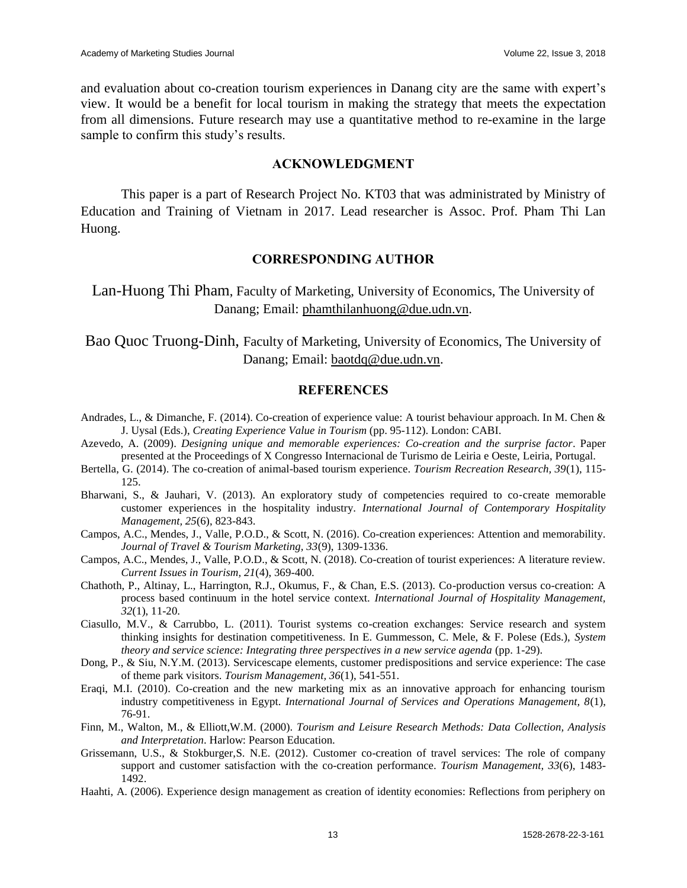and evaluation about co-creation tourism experiences in Danang city are the same with expert's view. It would be a benefit for local tourism in making the strategy that meets the expectation from all dimensions. Future research may use a quantitative method to re-examine in the large sample to confirm this study's results.

## **ACKNOWLEDGMENT**

This paper is a part of Research Project No. KT03 that was administrated by Ministry of Education and Training of Vietnam in 2017. Lead researcher is Assoc. Prof. Pham Thi Lan Huong.

## **CORRESPONDING AUTHOR**

Lan-Huong Thi Pham, Faculty of Marketing, University of Economics, The University of Danang; Email: [phamthilanhuong@due.udn.vn.](mailto:phamthilanhuong@due.udn.vn)

Bao Quoc Truong-Dinh, Faculty of Marketing, University of Economics, The University of Danang; Email: [baotdq@due.udn.vn.](mailto:baotdq@due.udn.vn)

#### **REFERENCES**

- Andrades, L., & Dimanche, F. (2014). Co-creation of experience value: A tourist behaviour approach. In M. Chen & J. Uysal (Eds.), *Creating Experience Value in Tourism* (pp. 95-112). London: CABI.
- Azevedo, A. (2009). *Designing unique and memorable experiences: Co-creation and the surprise factor*. Paper presented at the Proceedings of X Congresso Internacional de Turismo de Leiria e Oeste, Leiria, Portugal.
- Bertella, G. (2014). The co-creation of animal-based tourism experience. *Tourism Recreation Research, 39*(1), 115- 125.
- Bharwani, S., & Jauhari, V. (2013). An exploratory study of competencies required to co-create memorable customer experiences in the hospitality industry. *International Journal of Contemporary Hospitality Management, 25*(6), 823-843.
- Campos, A.C., Mendes, J., Valle, P.O.D., & Scott, N. (2016). Co-creation experiences: Attention and memorability. *Journal of Travel & Tourism Marketing, 33*(9), 1309-1336.
- Campos, A.C., Mendes, J., Valle, P.O.D., & Scott, N. (2018). Co-creation of tourist experiences: A literature review. *Current Issues in Tourism, 21*(4), 369-400.
- Chathoth, P., Altinay, L., Harrington, R.J., Okumus, F., & Chan, E.S. (2013). Co-production versus co-creation: A process based continuum in the hotel service context. *International Journal of Hospitality Management, 32*(1), 11-20.
- Ciasullo, M.V., & Carrubbo, L. (2011). Tourist systems co-creation exchanges: Service research and system thinking insights for destination competitiveness. In E. Gummesson, C. Mele, & F. Polese (Eds.), *System theory and service science: Integrating three perspectives in a new service agenda* (pp. 1-29).
- Dong, P., & Siu, N.Y.M. (2013). Servicescape elements, customer predispositions and service experience: The case of theme park visitors. *Tourism Management, 36*(1), 541-551.
- Eraqi, M.I. (2010). Co-creation and the new marketing mix as an innovative approach for enhancing tourism industry competitiveness in Egypt. *International Journal of Services and Operations Management, 8*(1), 76-91.
- Finn, M., Walton, M., & Elliott,W.M. (2000). *Tourism and Leisure Research Methods: Data Collection, Analysis and Interpretation*. Harlow: Pearson Education.
- Grissemann, U.S., & Stokburger,S. N.E. (2012). Customer co-creation of travel services: The role of company support and customer satisfaction with the co-creation performance. *Tourism Management, 33*(6), 1483- 1492.
- Haahti, A. (2006). Experience design management as creation of identity economies: Reflections from periphery on